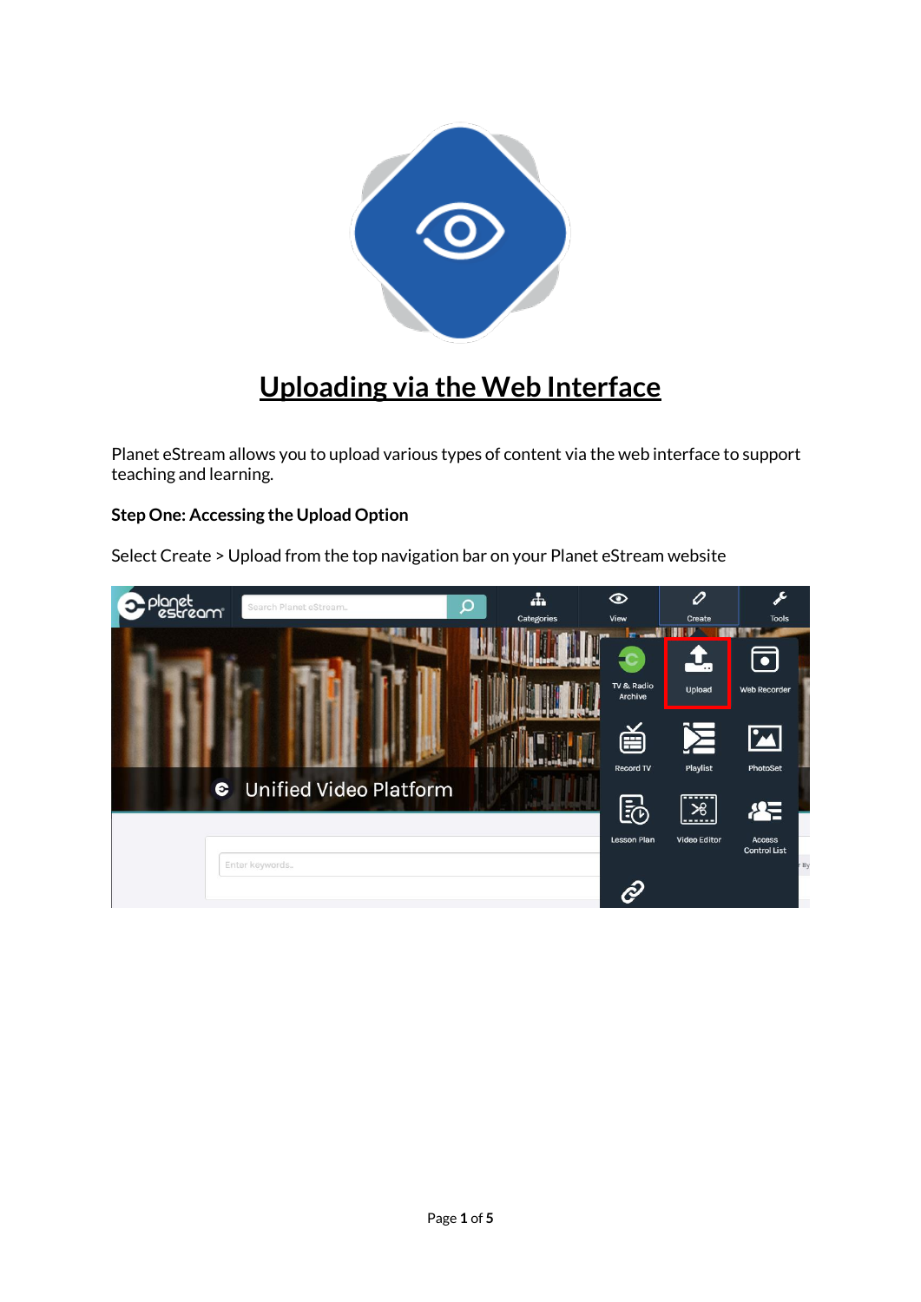

## **Uploading via the Web Interface**

Planet eStream allows you to upload various types of content via the web interface to support teaching and learning.

## **Step One: Accessing the Upload Option**

Select Create > Upload from the top navigation bar on your Planet eStream website

| lanet<br>estream<br>Search Planet eStream  | Q | 4<br>Categories | $\odot$<br>View                                                  | 0<br>Create                                                                          | $\mathcal{L}$<br><b>Tools</b>                                                |
|--------------------------------------------|---|-----------------|------------------------------------------------------------------|--------------------------------------------------------------------------------------|------------------------------------------------------------------------------|
| <b>Unified Video Platform</b><br>$\bullet$ |   |                 | m<br>TV & Radio<br>Archive<br>首<br>Record TV<br>园<br>Lesson Plan | ۰.<br>Upload<br>呂<br>Playlist<br><b></b><br>$\frac{1}{26}$<br>------<br>Video Editor | $\boxed{\bullet}$<br>Web Recorder<br>$\mathbf{M}$<br>PhotoSet<br>径<br>Access |
| Enter keywords                             |   |                 | R                                                                |                                                                                      | <b>Control List</b><br>r By                                                  |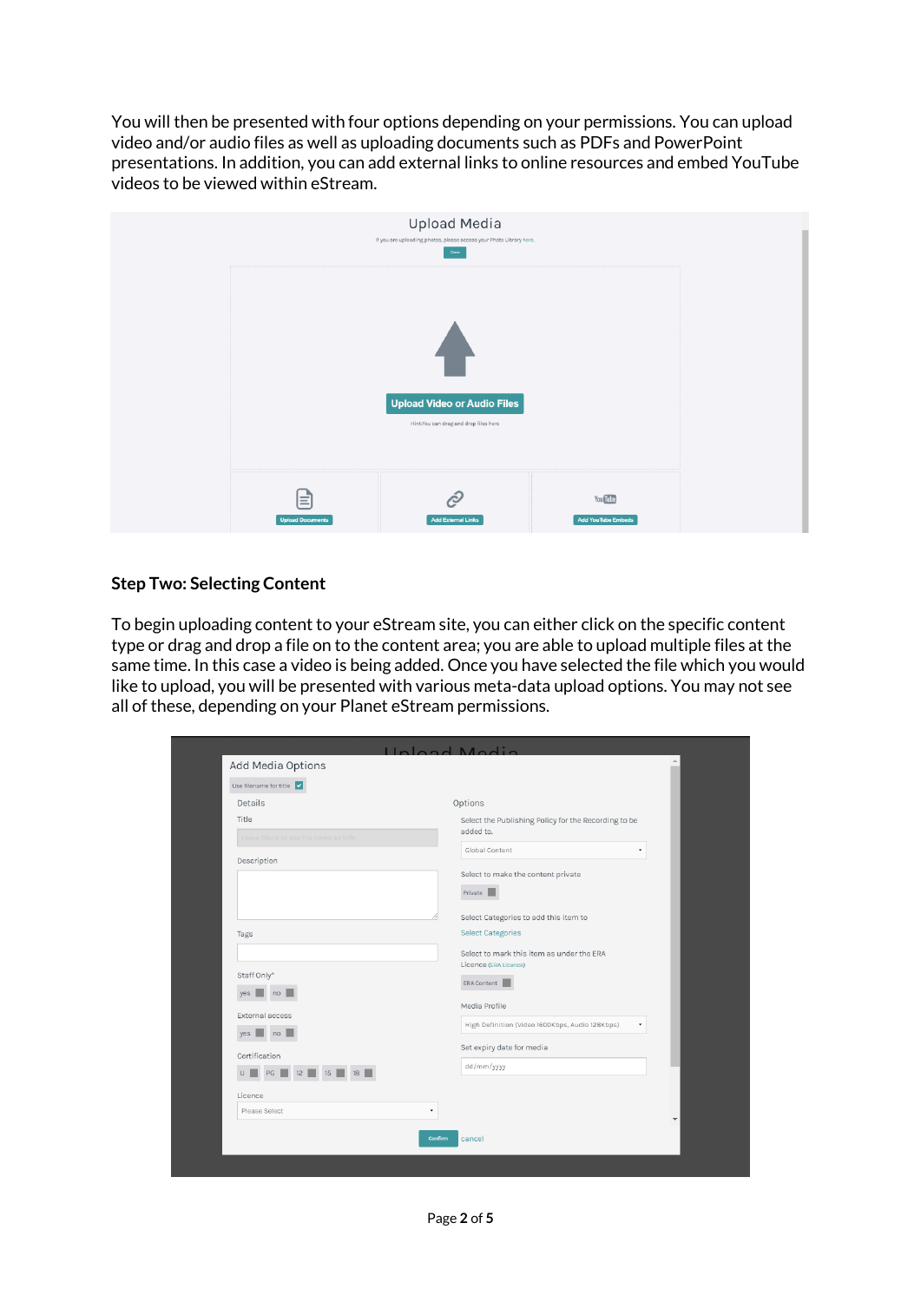You will then be presented with four options depending on your permissions. You can upload video and/or audio files as well as uploading documents such as PDFs and PowerPoint presentations. In addition, you can add external links to online resources and embed YouTube videos to be viewed within eStream.



## **Step Two: Selecting Content**

To begin uploading content to your eStream site, you can either click on the specific content type or drag and drop a file on to the content area; you are able to upload multiple files at the same time. In this case a video is being added. Once you have selected the file which you would like to upload, you will be presented with various meta-data upload options. You may not see all of these, depending on your Planet eStream permissions.

| Use filename for title<br>Details     |                                                                   |
|---------------------------------------|-------------------------------------------------------------------|
|                                       | Options                                                           |
| Title                                 | Select the Publishing Policy for the Recording to be<br>added to. |
| Leave blank to use file name as title | Global Content                                                    |
| Description                           |                                                                   |
|                                       | Select to make the content private                                |
|                                       | Private                                                           |
|                                       | Select Categories to add this item to                             |
| Tags                                  | <b>Select Categories</b>                                          |
|                                       | Select to mark this item as under the ERA                         |
|                                       | Licence (ERA Licence)                                             |
| Staff Only*                           | ERA Content                                                       |
| yes $\Box$ no                         | Media Profile                                                     |
| External access                       | High Definition (Video 1600Kbps, Audio 128Kbps)                   |
| yes $\Box$ no $\Box$                  |                                                                   |
| Certification                         | Set expiry date for media                                         |
| PG 2 12 15 18<br>U                    | dd/mm/yyyy                                                        |
| Licence                               |                                                                   |
| Please Select                         | ٠                                                                 |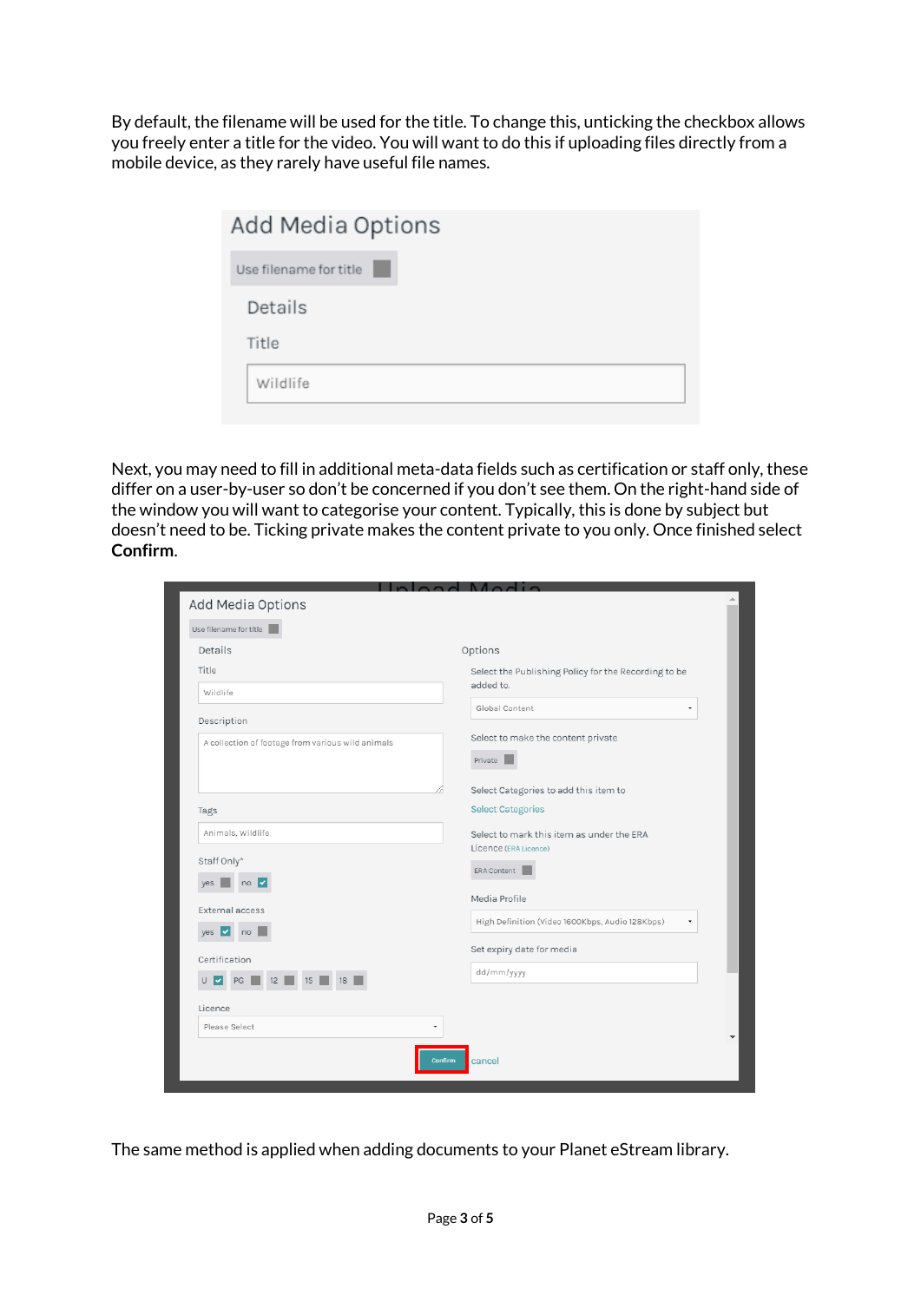By default, the filename will be used for the title. To change this, unticking the checkbox allows you freely enter a title for the video. You will want to do this if uploading files directly from a mobile device, as they rarely have useful file names.

| Add Media Options      |
|------------------------|
| Use filename for title |
| Details                |
| Title                  |
| Wildlife               |
|                        |

Next, you may need to fill in additional meta-data fields such as certification or staff only, these differ on a user-by-user so don't be concerned if you don't see them. On the right-hand side of the window you will want to categorise your content. Typically, this is done by subject but doesn't need to be. Ticking private makes the content private to you only. Once finished select **Confirm**.

| Options<br>Select the Publishing Policy for the Recording to be<br>added to.<br>Wildlife<br>Global Content<br>۰<br>Select to make the content private<br>A collection of footage from various wild animals<br>Private<br>Select Categories to add this item to<br><b>Select Categories</b><br>Animals, Wildlife<br>Select to mark this item as under the ERA<br>Licence (ERA Licence)<br>ERA Content<br>$no$ $\vee$<br>yes<br>Media Profile<br>High Definition (Video 1600Kbps, Audio 128Kbps)<br>no<br>Set expiry date for media<br>dd/mm/yyyy<br>U<br>PG<br>12<br>է<br>15<br>18<br>Please Select<br>٠ |                        |  |  |  |  |
|---------------------------------------------------------------------------------------------------------------------------------------------------------------------------------------------------------------------------------------------------------------------------------------------------------------------------------------------------------------------------------------------------------------------------------------------------------------------------------------------------------------------------------------------------------------------------------------------------------|------------------------|--|--|--|--|
| Details<br>Title<br>Description<br>Tags<br>Staff Only*<br>External access<br>$yes$ $\vee$<br>Certification<br>Licence                                                                                                                                                                                                                                                                                                                                                                                                                                                                                   | Add Media Options      |  |  |  |  |
|                                                                                                                                                                                                                                                                                                                                                                                                                                                                                                                                                                                                         | Use filename for title |  |  |  |  |
|                                                                                                                                                                                                                                                                                                                                                                                                                                                                                                                                                                                                         |                        |  |  |  |  |
|                                                                                                                                                                                                                                                                                                                                                                                                                                                                                                                                                                                                         |                        |  |  |  |  |
|                                                                                                                                                                                                                                                                                                                                                                                                                                                                                                                                                                                                         |                        |  |  |  |  |
|                                                                                                                                                                                                                                                                                                                                                                                                                                                                                                                                                                                                         |                        |  |  |  |  |
|                                                                                                                                                                                                                                                                                                                                                                                                                                                                                                                                                                                                         |                        |  |  |  |  |
|                                                                                                                                                                                                                                                                                                                                                                                                                                                                                                                                                                                                         |                        |  |  |  |  |
|                                                                                                                                                                                                                                                                                                                                                                                                                                                                                                                                                                                                         |                        |  |  |  |  |
|                                                                                                                                                                                                                                                                                                                                                                                                                                                                                                                                                                                                         |                        |  |  |  |  |
|                                                                                                                                                                                                                                                                                                                                                                                                                                                                                                                                                                                                         |                        |  |  |  |  |
|                                                                                                                                                                                                                                                                                                                                                                                                                                                                                                                                                                                                         |                        |  |  |  |  |
|                                                                                                                                                                                                                                                                                                                                                                                                                                                                                                                                                                                                         |                        |  |  |  |  |
|                                                                                                                                                                                                                                                                                                                                                                                                                                                                                                                                                                                                         |                        |  |  |  |  |
|                                                                                                                                                                                                                                                                                                                                                                                                                                                                                                                                                                                                         |                        |  |  |  |  |
|                                                                                                                                                                                                                                                                                                                                                                                                                                                                                                                                                                                                         |                        |  |  |  |  |
|                                                                                                                                                                                                                                                                                                                                                                                                                                                                                                                                                                                                         |                        |  |  |  |  |
|                                                                                                                                                                                                                                                                                                                                                                                                                                                                                                                                                                                                         |                        |  |  |  |  |
|                                                                                                                                                                                                                                                                                                                                                                                                                                                                                                                                                                                                         |                        |  |  |  |  |
|                                                                                                                                                                                                                                                                                                                                                                                                                                                                                                                                                                                                         |                        |  |  |  |  |
| Confirm<br>cancel                                                                                                                                                                                                                                                                                                                                                                                                                                                                                                                                                                                       |                        |  |  |  |  |

The same method is applied when adding documents to your Planet eStream library.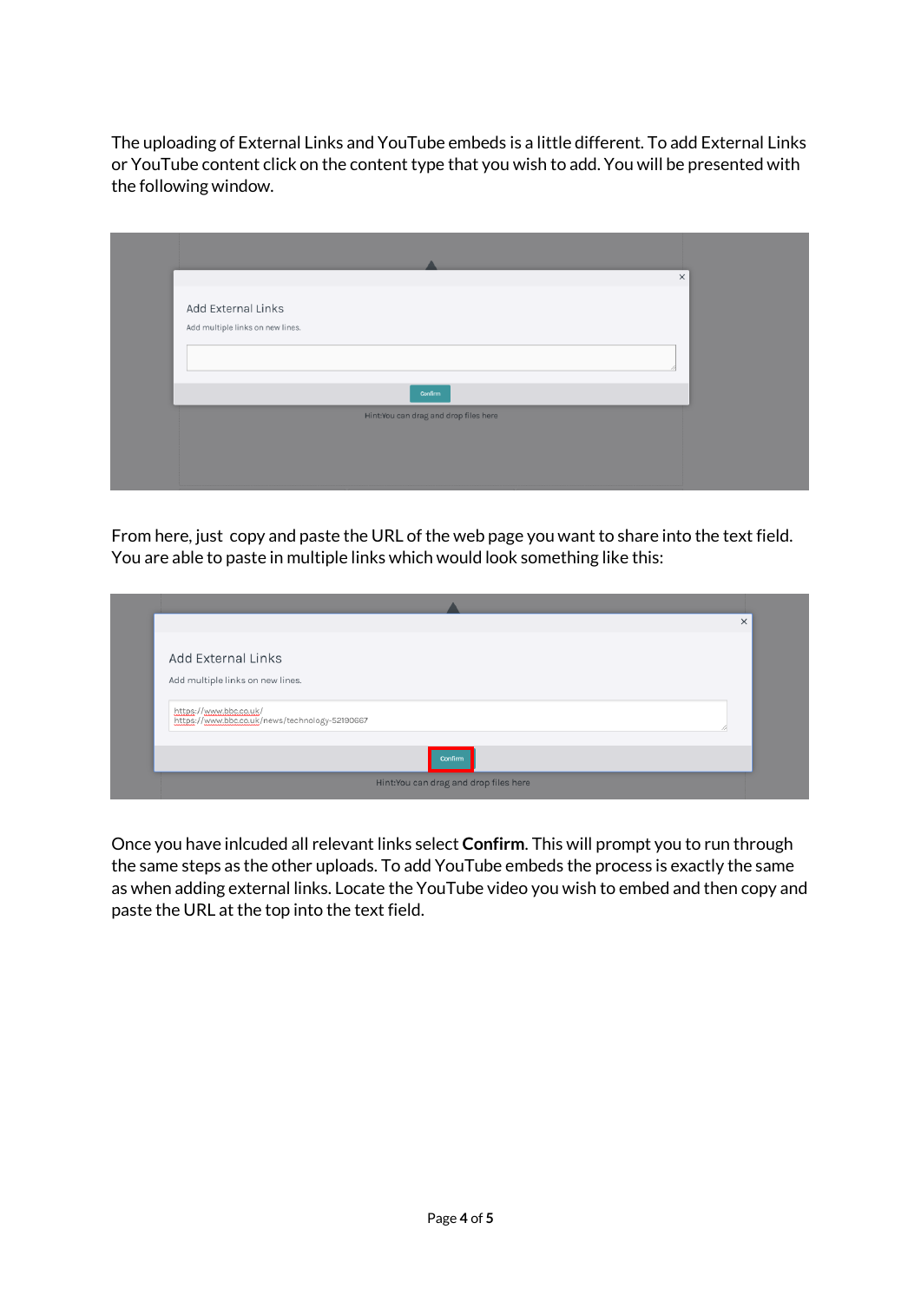The uploading of External Links and YouTube embeds is a little different. To add External Links or YouTube content click on the content type that you wish to add. You will be presented with the following window.

|                                       | $\times$ |
|---------------------------------------|----------|
| Add External Links                    |          |
|                                       |          |
| Add multiple links on new lines.      |          |
|                                       |          |
|                                       |          |
| Confirm                               |          |
| Hint:You can drag and drop files here |          |
|                                       |          |
|                                       |          |
|                                       |          |
|                                       |          |

From here, just copy and paste the URL of the web page you want to share into the text field. You are able to paste in multiple links which would look something like this:

|                                                                          | $\times$ |  |  |
|--------------------------------------------------------------------------|----------|--|--|
| Add External Links<br>Add multiple links on new lines.                   |          |  |  |
| https://www.bbc.co.uk/<br>https://www.bbc.co.uk/news/technology-52190667 |          |  |  |
| Confirm                                                                  |          |  |  |
| Hint:You can drag and drop files here                                    |          |  |  |

Once you have inlcuded all relevant links select **Confirm**. This will prompt you to run through the same steps as the other uploads. To add YouTube embeds the process is exactly the same as when adding external links. Locate the YouTube video you wish to embed and then copy and paste the URL at the top into the text field.